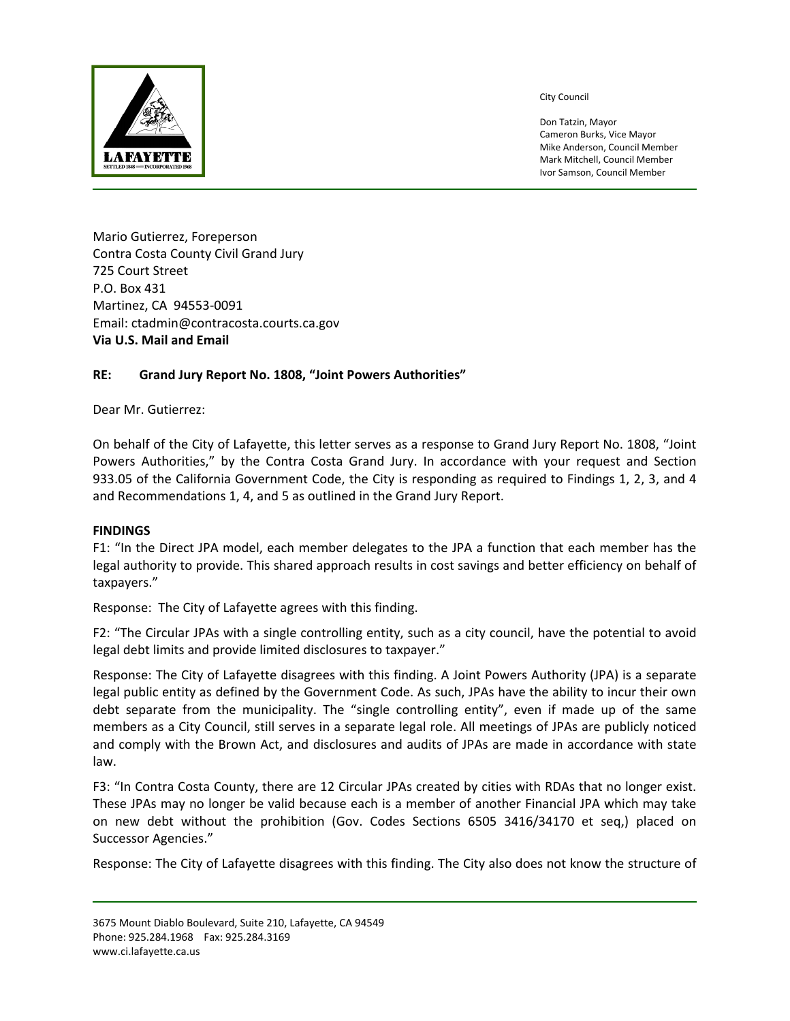

City Council

Don Tatzin, Mayor Cameron Burks, Vice Mayor Mike Anderson, Council Member Mark Mitchell, Council Member Ivor Samson, Council Member

Mario Gutierrez, Foreperson Contra Costa County Civil Grand Jury 725 Court Street P.O. Box 431 Martinez, CA 94553‐0091 Email: ctadmin@contracosta.courts.ca.gov **Via U.S. Mail and Email** 

## **RE: Grand Jury Report No. 1808, "Joint Powers Authorities"**

Dear Mr. Gutierrez:

On behalf of the City of Lafayette, this letter serves as a response to Grand Jury Report No. 1808, "Joint Powers Authorities," by the Contra Costa Grand Jury. In accordance with your request and Section 933.05 of the California Government Code, the City is responding as required to Findings 1, 2, 3, and 4 and Recommendations 1, 4, and 5 as outlined in the Grand Jury Report.

## **FINDINGS**

F1: "In the Direct JPA model, each member delegates to the JPA a function that each member has the legal authority to provide. This shared approach results in cost savings and better efficiency on behalf of taxpayers."

Response: The City of Lafayette agrees with this finding.

F2: "The Circular JPAs with a single controlling entity, such as a city council, have the potential to avoid legal debt limits and provide limited disclosures to taxpayer."

Response: The City of Lafayette disagrees with this finding. A Joint Powers Authority (JPA) is a separate legal public entity as defined by the Government Code. As such, JPAs have the ability to incur their own debt separate from the municipality. The "single controlling entity", even if made up of the same members as a City Council, still serves in a separate legal role. All meetings of JPAs are publicly noticed and comply with the Brown Act, and disclosures and audits of JPAs are made in accordance with state law.

F3: "In Contra Costa County, there are 12 Circular JPAs created by cities with RDAs that no longer exist. These JPAs may no longer be valid because each is a member of another Financial JPA which may take on new debt without the prohibition (Gov. Codes Sections 6505 3416/34170 et seq,) placed on Successor Agencies."

Response: The City of Lafayette disagrees with this finding. The City also does not know the structure of